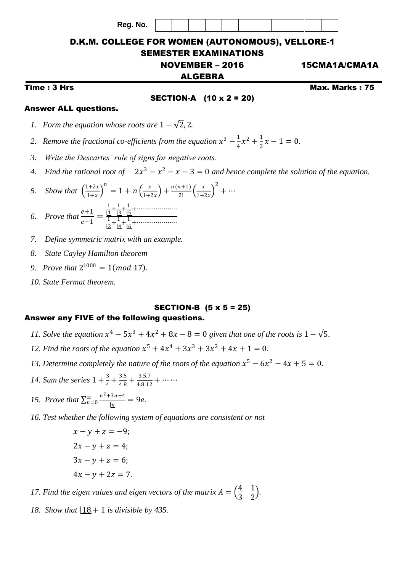**Reg. No.**



# D.K.M. COLLEGE FOR WOMEN (AUTONOMOUS), VELLORE-1 SEMESTER EXAMINATIONS

NOVEMBER – 2016 15CMA1A/CMA1A

### ALGEBRA

Time : 3 Hrs Max. Marks : 75

#### SECTION-A (10 x 2 = 20)

### Answer ALL questions.

- *1. Form the equation whose roots are*  $1 \sqrt{2}$ , 2.
- 2. Remove the fractional co-efficients from the equation  $x^3 \frac{1}{4}$  $\frac{1}{4}x^2 + \frac{1}{3}$  $\frac{1}{3}x-1=0.$
- *3. Write the Descartes' rule of signs for negative roots.*
- 4. Find the rational root of  $2x^3 x^2 x 3 = 0$  and hence complete the solution of the equation.

5. Show that 
$$
\left(\frac{1+2x}{1+x}\right)^n = 1 + n\left(\frac{x}{1+2x}\right) + \frac{n(n+1)}{2!}\left(\frac{x}{1+2x}\right)^2 + \cdots
$$

6. Prove that 
$$
\frac{e+1}{e-1} = \frac{\frac{1}{1!} + \frac{1}{1!} + \cdots + \cdots}{\frac{1}{1!} + \frac{1}{1!} + \cdots + \cdots}
$$

- *7. Define symmetric matrix with an example.*
- *8. State Cayley Hamilton theorem*
- 9. *Prove that*  $2^{1000} = 1 \pmod{17}$ .
- *10. State Fermat theorem.*

# SECTION-B (5 x 5 = 25)

# Answer any FIVE of the following questions.

- *11. Solve the equation*  $x^4 5x^3 + 4x^2 + 8x 8 = 0$  *given that one of the roots is*  $1 \sqrt{5}$ *.*
- 12. Find the roots of the equation  $x^5 + 4x^4 + 3x^3 + 3x^2 + 4x + 1 = 0$ .
- 13. Determine completely the nature of the roots of the equation  $x^5 6x^2 4x + 5 = 0$ .
- 14. *Sum the series*  $1 + \frac{3}{4}$  $\frac{3}{4} + \frac{3.5}{4.8}$  $\frac{3.5}{4.8} + \frac{3.5.7}{4.8.12}$  $\frac{3.337}{4.8.12} + \cdots$
- *15. Prove that*  $\sum_{n=0}^{\infty} \frac{n^2 + 3n + 4}{1}$  $\frac{a}{n=0} \frac{n^2+3n+4}{n} = 9e.$
- *16. Test whether the following system of equations are consistent or not*

$$
x - y + z = -9;
$$
  
\n
$$
2x - y + z = 4;
$$
  
\n
$$
3x - y + z = 6;
$$
  
\n
$$
4x - y + 2z = 7.
$$

17. Find the eigen values and eigen vectors of the matrix  $A = \begin{pmatrix} 4 & 1 \\ 2 & 2 \end{pmatrix}$  $\begin{pmatrix} 7 & 1 \\ 3 & 2 \end{pmatrix}$ .

*18. Show that*  $18 + 1$  *is divisible by 435.*